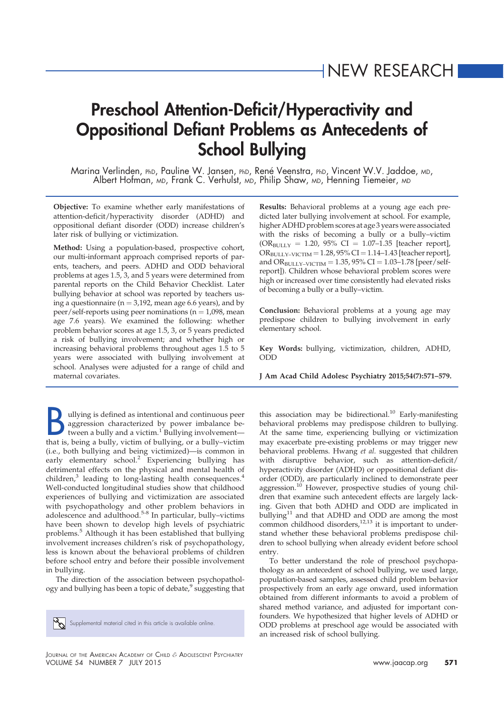# Preschool Attention-Deficit/Hyperactivity and Oppositional Defiant Problems as Antecedents of School Bullying

Marina Verlinden, PhD, Pauline W. Jansen, PhD, René Veenstra, PhD, Vincent W.V. Jaddoe, MD, Albert Hofman, MD, Frank C. Verhulst, MD, Philip Shaw, MD, Henning Tiemeier, MD

Objective: To examine whether early manifestations of attention-deficit/hyperactivity disorder (ADHD) and oppositional defiant disorder (ODD) increase children's later risk of bullying or victimization.

Method: Using a population-based, prospective cohort, our multi-informant approach comprised reports of parents, teachers, and peers. ADHD and ODD behavioral problems at ages 1.5, 3, and 5 years were determined from parental reports on the Child Behavior Checklist. Later bullying behavior at school was reported by teachers using a questionnaire ( $n = 3,192$ , mean age 6.6 years), and by peer/self-reports using peer nominations ( $n = 1,098$ , mean age 7.6 years). We examined the following: whether problem behavior scores at age 1.5, 3, or 5 years predicted a risk of bullying involvement; and whether high or increasing behavioral problems throughout ages 1.5 to 5 years were associated with bullying involvement at school. Analyses were adjusted for a range of child and maternal covariates.

allying is defined as intentional and continuous peer<br>aggression characterized by power imbalance be-<br>tween a bully and a victim.<sup>1</sup> Bullying involvement—<br>that is, being a bully, victim of bullying, or a bully–victim ullying is defined as intentional and continuous peer aggression characterized by power imbalance between a bully and a victim.<sup>1</sup> Bullying involvement-(i.e., both bullying and being victimized)—is common in early elementary school.<sup>2</sup> Experiencing bullying has detrimental effects on the physical and mental health of children,<sup>3</sup> leading to long-lasting health consequences.<sup>4</sup> Well-conducted longitudinal studies show that childhood experiences of bullying and victimization are associated with psychopathology and other problem behaviors in adolescence and adulthood.<sup>5-8</sup> In particular, bully–victims have been shown to develop high levels of psychiatric problems.<sup>5</sup> Although it has been established that bullying involvement increases children's risk of psychopathology, less is known about the behavioral problems of children before school entry and before their possible involvement in bullying.

The direction of the association between psychopathology and bullying has been a topic of debate,<sup>9</sup> suggesting that

 $\mathbb{S}_{\mathbb{S}}$  Supplemental material cited in this article is available online.

Results: Behavioral problems at a young age each predicted later bullying involvement at school. For example, higher ADHD problem scores at age 3 years were associated with the risks of becoming a bully or a bully–victim  $(OR_{BULLY} = 1.20, 95\% \text{ CI} = 1.07-1.35 \text{ [teacher report]}$  $OR_{BULLY-VICTIM} = 1.28,95\% CI = 1.14–1.43$  [teacher report], and  $OR_{BULLY-VICTIM} = 1.35, 95\% CI = 1.03-1.78$  [peer/selfreport]). Children whose behavioral problem scores were high or increased over time consistently had elevated risks of becoming a bully or a bully–victim.

Conclusion: Behavioral problems at a young age may predispose children to bullying involvement in early elementary school.

Key Words: bullying, victimization, children, ADHD, ODD

J Am Acad Child Adolesc Psychiatry 2015;54(7):571–579.

this association may be bidirectional.<sup>10</sup> Early-manifesting behavioral problems may predispose children to bullying. At the same time, experiencing bullying or victimization may exacerbate pre-existing problems or may trigger new behavioral problems. Hwang et al. suggested that children with disruptive behavior, such as attention-deficit/ hyperactivity disorder (ADHD) or oppositional defiant disorder (ODD), are particularly inclined to demonstrate peer aggression.<sup>10</sup> However, prospective studies of young children that examine such antecedent effects are largely lacking. Given that both ADHD and ODD are implicated in bullying $11$  and that ADHD and ODD are among the most common childhood disorders, $12,13$  it is important to understand whether these behavioral problems predispose children to school bullying when already evident before school entry.

To better understand the role of preschool psychopathology as an antecedent of school bullying, we used large, population-based samples, assessed child problem behavior prospectively from an early age onward, used information obtained from different informants to avoid a problem of shared method variance, and adjusted for important confounders. We hypothesized that higher levels of ADHD or ODD problems at preschool age would be associated with an increased risk of school bullying.

JOURNAL OF THE AMERICAN ACADEMY OF CHILD & ADOLESCENT PSYCHIATRY VOLUME 54 NUMBER 7 JULY 2015 www.jaacap.org 571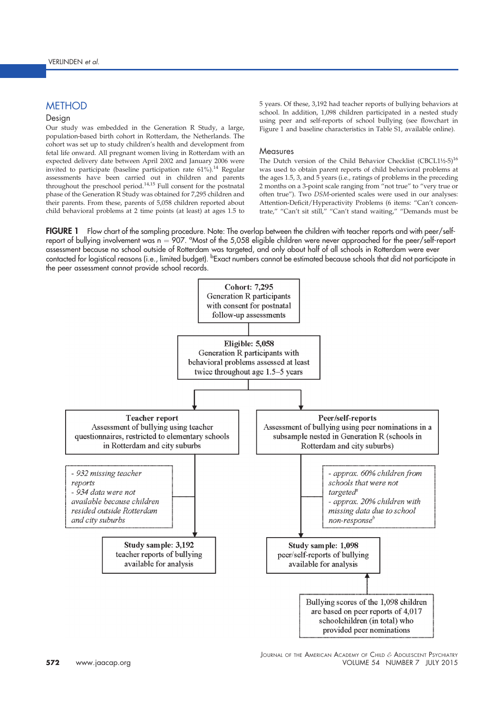# **METHOD**

## Design

Our study was embedded in the Generation R Study, a large, population-based birth cohort in Rotterdam, the Netherlands. The cohort was set up to study children's health and development from fetal life onward. All pregnant women living in Rotterdam with an expected delivery date between April 2002 and January 2006 were invited to participate (baseline participation rate 61%).<sup>14</sup> Regular assessments have been carried out in children and parents<br>throughout the preschool period.<sup>14,15</sup> Full consent for the postnatal phase of the Generation R Study was obtained for 7,295 children and their parents. From these, parents of 5,058 children reported about child behavioral problems at 2 time points (at least) at ages 1.5 to 5 years. Of these, 3,192 had teacher reports of bullying behaviors at school. In addition, 1,098 children participated in a nested study using peer and self-reports of school bullying (see flowchart in Figure 1 and baseline characteristics in Table S1, available online).

#### Measures

The Dutch version of the Child Behavior Checklist (CBCL1½-5)<sup>16</sup> was used to obtain parent reports of child behavioral problems at the ages 1.5, 3, and 5 years (i.e., ratings of problems in the preceding 2 months on a 3-point scale ranging from "not true" to "very true or often true"). Two DSM-oriented scales were used in our analyses: Attention-Deficit/Hyperactivity Problems (6 items: "Can't concentrate," "Can't sit still," "Can't stand waiting," "Demands must be

FIGURE 1 Flow chart of the sampling procedure. Note: The overlap between the children with teacher reports and with peer/selfreport of bullying involvement was  $n = 907$ . "Most of the 5,058 eligible children were never approached for the peer/self-report assessment because no school outside of Rotterdam was targeted, and only about half of all schools in Rotterdam were ever contacted for logistical reasons (i.e., limited budget). <sup>b</sup>Exact numbers cannot be estimated because schools that did not participate in the peer assessment cannot provide school records.

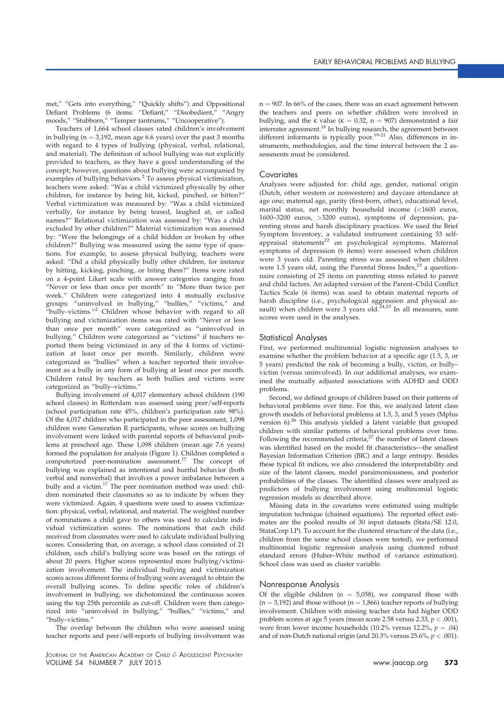met," "Gets into everything," "Quickly shifts") and Oppositional Defiant Problems (6 items: "Defiant," "Disobedient," "Angry moods," "Stubborn," "Temper tantrums," "Uncooperative").

Teachers of 1,664 school classes rated children's involvement in bullying ( $n = 3,192$ , mean age 6.6 years) over the past 3 months with regard to 4 types of bullying (physical, verbal, relational, and material). The definition of school bullying was not explicitly provided to teachers, as they have a good understanding of the concept; however, questions about bullying were accompanied by examples of bullying behaviors.<sup>2</sup> To assess physical victimization, teachers were asked: "Was a child victimized physically by other children, for instance by being hit, kicked, pinched, or bitten?" Verbal victimization was measured by: "Was a child victimized verbally, for instance by being teased, laughed at, or called names?" Relational victimization was assessed by: "Was a child excluded by other children?" Material victimization was assessed by: "Were the belongings of a child hidden or broken by other children?" Bullying was measured using the same type of questions. For example, to assess physical bullying, teachers were asked: "Did a child physically bully other children, for instance by hitting, kicking, pinching, or biting them?" Items were rated on a 4-point Likert scale with answer categories ranging from "Never or less than once per month" to "More than twice per week." Children were categorized into 4 mutually exclusive groups: "uninvolved in bullying," "bullies," "victims," and "bully-victims."<sup>2</sup> Children whose behavior with regard to all bullying and victimization items was rated with "Never or less than once per month" were categorized as "uninvolved in bullying." Children were categorized as "victims" if teachers reported them being victimized in any of the 4 forms of victimization at least once per month. Similarly, children were categorized as "bullies" when a teacher reported their involvement as a bully in any form of bullying at least once per month. Children rated by teachers as both bullies and victims were categorized as "bully–victims."

Bullying involvement of 4,017 elementary school children (190 school classes) in Rotterdam was assessed using peer/self-reports (school participation rate 45%, children's participation rate 98%). Of the 4,017 children who participated in the peer assessment, 1,098 children were Generation R participants, whose scores on bullying involvement were linked with parental reports of behavioral problems at preschool age. These 1,098 children (mean age 7.6 years) formed the population for analysis (Figure 1). Children completed a computerized peer-nomination assessment.<sup>17</sup> The concept of bullying was explained as intentional and hurtful behavior (both verbal and nonverbal) that involves a power imbalance between a bully and a victim.<sup>17</sup> The peer nomination method was used: children nominated their classmates so as to indicate by whom they were victimized. Again, 4 questions were used to assess victimization: physical, verbal, relational, and material. The weighted number of nominations a child gave to others was used to calculate individual victimization scores. The nominations that each child received from classmates were used to calculate individual bullying scores. Considering that, on average, a school class consisted of 21 children, each child's bullying score was based on the ratings of about 20 peers. Higher scores represented more bullying/victimization involvement. The individual bullying and victimization scores across different forms of bullying were averaged to obtain the overall bullying scores. To define specific roles of children's involvement in bullying, we dichotomized the continuous scores using the top 25th percentile as cut-off. Children were then categorized into "uninvolved in bullying," "bullies," "victims," and "bully–victims."

The overlap between the children who were assessed using teacher reports and peer/self-reports of bullying involvement was

JOURNAL OF THE AMERICAN ACADEMY OF CHILD & ADOLESCENT PSYCHIATRY VOLUME 54 NUMBER 7 JULY 2015 WWW.jaacap.org 573

 $n = 907$ . In 66% of the cases, there was an exact agreement between the teachers and peers on whether children were involved in bullying, and the  $\kappa$  value ( $\kappa = 0.32$ , n = 907) demonstrated a fair interrater agreement.<sup>18</sup> In bullying research, the agreement between different informants is typically poor.<sup>19-21</sup> Also, differences in instruments, methodologies, and the time interval between the 2 assessments must be considered.

## Covariates

Analyses were adjusted for: child age, gender, national origin (Dutch, other western or nonwestern) and daycare attendance at age one; maternal age, parity (first-born, other), educational level, marital status, net monthly household income (<1600 euros, 1600–3200 euros, >3200 euros), symptoms of depression, parenting stress and harsh disciplinary practices. We used the Brief Symptom Inventory, a validated instrument containing 53 self-<br>appraisal statements<sup>22</sup> on psychological symptoms. Maternal symptoms of depression (6 items) were assessed when children were 3 years old. Parenting stress was assessed when children were 1.5 years old, using the Parental Stress Index, $23$  a questionnaire consisting of 25 items on parenting stress related to parent and child factors. An adapted version of the Parent–Child Conflict Tactics Scale (6 items) was used to obtain maternal reports of harsh discipline (i.e., psychological aggression and physical as-sault) when children were 3 years old.24,25 In all measures, sum scores were used in the analyses.

### Statistical Analyses

First, we performed multinomial logistic regression analyses to examine whether the problem behavior at a specific age (1.5, 3, or 5 years) predicted the risk of becoming a bully, victim, or bully– victim (versus uninvolved). In our additional analyses, we examined the mutually adjusted associations with ADHD and ODD problems.

Second, we defined groups of children based on their patterns of behavioral problems over time. For this, we analyzed latent class growth models of behavioral problems at 1.5, 3, and 5 years (Mplus version  $6$ ).<sup>26</sup> This analysis yielded a latent variable that grouped children with similar patterns of behavioral problems over time. Following the recommended criteria, $^{27}$  the number of latent classes was identified based on the model fit characteristics—the smallest Bayesian Information Criterion (BIC) and a large entropy. Besides these typical fit indices, we also considered the interpretability and size of the latent classes, model parsimoniousness, and posterior probabilities of the classes. The identified classes were analyzed as predictors of bullying involvement using multinomial logistic regression models as described above.

Missing data in the covariates were estimated using multiple imputation technique (chained equations). The reported effect estimates are the pooled results of 30 input datasets (Stata/SE 12.0, StataCorp LP). To account for the clustered structure of the data (i.e., children from the same school classes were tested), we performed multinomial logistic regression analysis using clustered robust standard errors (Huber–White method of variance estimation). School class was used as cluster variable.

### Nonresponse Analysis

Of the eligible children ( $n = 5,058$ ), we compared those with  $(n = 3,192)$  and those without  $(n = 1,866)$  teacher reports of bullying involvement. Children with missing teacher data had higher ODD problem scores at age 5 years (mean score 2.58 versus 2.33,  $p < .001$ ), were from lower income households (10.2% versus 12.2%,  $p = .04$ ) and of non-Dutch national origin (and  $20.3\%$  versus  $25.6\%$ ,  $p < .001$ ).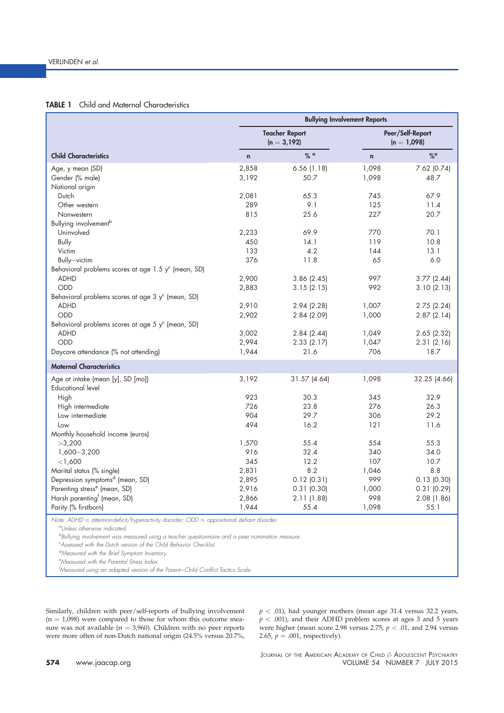## **TABLE 1** Child and Maternal Characteristics

|                                                                                             | <b>Bullying Involvement Reports</b> |                                         |                                   |               |  |  |
|---------------------------------------------------------------------------------------------|-------------------------------------|-----------------------------------------|-----------------------------------|---------------|--|--|
|                                                                                             |                                     | <b>Teacher Report</b><br>$(n = 3, 192)$ | Peer/Self-Report<br>$(n = 1,098)$ |               |  |  |
| <b>Child Characteristics</b>                                                                | $\mathbf n$                         | $%$ a                                   | n                                 | %             |  |  |
| Age, y mean (SD)                                                                            | 2,858                               | 6.56(1.18)                              | 1,098                             | 7.62 (0.74)   |  |  |
| Gender (% male)                                                                             | 3,192                               | 50.7                                    | 1,098                             | 48.7          |  |  |
| National origin                                                                             |                                     |                                         |                                   |               |  |  |
| Dutch                                                                                       | 2,081                               | 65.3                                    | 745                               | 67.9          |  |  |
| Other western                                                                               | 289                                 | 9.1                                     | 125                               | 11.4          |  |  |
| Nonwestern                                                                                  | 815                                 | 25.6                                    | 227                               | 20.7          |  |  |
| Bullying involvement <sup>b</sup>                                                           |                                     |                                         |                                   |               |  |  |
| Uninvolved                                                                                  | 2,233                               | 69.9                                    | 770                               | 70.1          |  |  |
| <b>Bully</b>                                                                                | 450                                 | 14.1                                    | 119                               | 10.8          |  |  |
| Victim                                                                                      | 133                                 | 4.2                                     | 144                               | 13.1          |  |  |
| Bully-victim                                                                                | 376                                 | 11.8                                    | 65                                | 6.0           |  |  |
| Behavioral problems scores at age $1.5$ y <sup>c</sup> (mean, SD)                           |                                     |                                         |                                   |               |  |  |
| <b>ADHD</b>                                                                                 | 2,900                               | 3.86(2.45)                              | 997                               | 3.77(2.44)    |  |  |
| ODD                                                                                         | 2,883                               | 3.15(2.15)                              | 992                               | 3.10(2.13)    |  |  |
| Behavioral problems scores at age 3 y <sup>c</sup> (mean, SD)                               |                                     |                                         |                                   |               |  |  |
| <b>ADHD</b>                                                                                 | 2,910                               | 2.94(2.28)                              | 1,007                             | 2.75 (2.24)   |  |  |
| ODD                                                                                         | 2,902                               | 2.84 (2.09)                             | 1,000                             | 2.87(2.14)    |  |  |
| Behavioral problems scores at age 5 $y^c$ (mean, SD)                                        |                                     |                                         |                                   |               |  |  |
| <b>ADHD</b>                                                                                 | 3,002                               | 2.84(2.44)                              | 1,049                             | $2.65$ (2.32) |  |  |
| ODD                                                                                         | 2,994                               | 2.33(2.17)                              | 1,047                             | 2.31(2.16)    |  |  |
| Daycare attendance (% not attending)                                                        | 1,944                               | 21.6                                    | 706                               | 18.7          |  |  |
| <b>Maternal Characteristics</b>                                                             |                                     |                                         |                                   |               |  |  |
| Age at intake (mean [y], SD [mo])                                                           | 3,192                               | 31.57 (4.64)                            | 1,098                             | 32.25 (4.66)  |  |  |
| <b>Educational level</b>                                                                    |                                     |                                         |                                   |               |  |  |
| High                                                                                        | 923                                 | 30.3                                    | 345                               | 32.9          |  |  |
| High intermediate                                                                           | 726                                 | 23.8                                    | 276                               | 26.3          |  |  |
| Low intermediate                                                                            | 904                                 | 29.7                                    | 306                               | 29.2          |  |  |
| Low                                                                                         | 494                                 | 16.2                                    | 121                               | 11.6          |  |  |
| Monthly household income (euros)                                                            |                                     |                                         |                                   |               |  |  |
| >3,200                                                                                      | 1,570                               | 55.4                                    | 554                               | 55.3          |  |  |
| $1,600 - 3,200$                                                                             | 916                                 | 32.4                                    | 340                               | 34.0          |  |  |
| < 1,600                                                                                     | 345                                 | 12.2                                    | 107                               | 10.7          |  |  |
| Marital status (% single)                                                                   | 2,831                               | 8.2                                     | 1,046                             | 8.8           |  |  |
| Depression symptoms <sup>d</sup> (mean, SD)                                                 | 2,895                               | 0.12(0.31)                              | 999                               | 0.13(0.30)    |  |  |
| Parenting stress <sup>e</sup> (mean, SD)                                                    | 2,916                               | 0.31(0.30)                              | 1,000                             | $0.31$ (0.29) |  |  |
| Harsh parenting <sup>f</sup> (mean, SD)                                                     | 2,866                               | 2.11(1.88)                              | 998                               | 2.08 (1.86)   |  |  |
| Parity (% firstborn)                                                                        | 1,944                               | 55.4                                    | 1,098                             | 55.1          |  |  |
|                                                                                             |                                     |                                         |                                   |               |  |  |
| Note: ADHD = attention-deficit/hyperactivity disorder; ODD = oppositional defiant disorder. |                                     |                                         |                                   |               |  |  |

<sup>b</sup>Bullying involvement was measured using a teacher questionnaire and a peer nomination measure.

<sup>c</sup>Assessed with the Dutch version of the Child Behavior Checklist.

dMeasured with the Brief Symptom Inventory.

<sup>e</sup>Measured with the Parental Stress Index.

fMeasured using an adapted version of the Parent-Child Conflict Tactics Scale.

Similarly, children with peer/self-reports of bullying involvement  $(n = 1,098)$  were compared to those for whom this outcome measure was not available ( $n = 3,960$ ). Children with no peer reports were more often of non-Dutch national origin (24.5% versus 20.7%,  $p < .01$ ), had younger mothers (mean age 31.4 versus 32.2 years,  $p < .001$ ), and their ADHD problem scores at ages 3 and 5 years were higher (mean score 2.98 versus 2.75,  $p < .01$ , and 2.94 versus 2.65,  $p = .001$ , respectively).

<sup>a</sup>Unless otherwise indicated.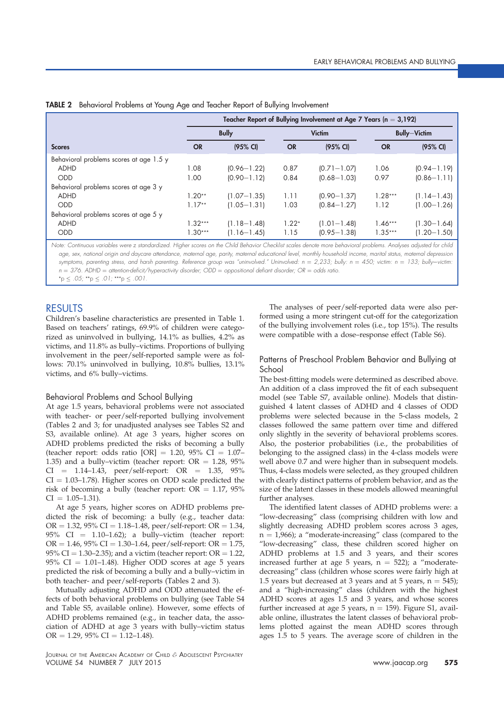|                                         | Teacher Report of Bullying Involvement at Age 7 Years ( $n = 3,192$ ) |                    |           |                     |           |                    |  |
|-----------------------------------------|-----------------------------------------------------------------------|--------------------|-----------|---------------------|-----------|--------------------|--|
|                                         | <b>Bully</b><br><b>Victim</b>                                         |                    |           | <b>Bully-Victim</b> |           |                    |  |
| <b>Scores</b>                           | <b>OR</b>                                                             | $(95% \text{ Cl})$ | <b>OR</b> | $(95% \text{ Cl})$  | <b>OR</b> | $(95% \text{ Cl})$ |  |
| Behavioral problems scores at age 1.5 y |                                                                       |                    |           |                     |           |                    |  |
| <b>ADHD</b>                             | 1.08                                                                  | $(0.96 - 1.22)$    | 0.87      | $(0.71 - 1.07)$     | 1.06      | $(0.94 - 1.19)$    |  |
| <b>ODD</b>                              | 1.00                                                                  | $(0.90 - 1.12)$    | 0.84      | $(0.68 - 1.03)$     | 0.97      | $(0.86 - 1.11)$    |  |
| Behavioral problems scores at age 3 y   |                                                                       |                    |           |                     |           |                    |  |
| ADHD                                    | $1.20**$                                                              | $(1.07 - 1.35)$    | 1.11      | $(0.90 - 1.37)$     | $1.28***$ | $(1.14 - 1.43)$    |  |
| <b>ODD</b>                              | $1.17**$                                                              | $(1.05 - 1.31)$    | 1.03      | $(0.84 - 1.27)$     | 1.12      | $(1.00 - 1.26)$    |  |
| Behavioral problems scores at age 5 y   |                                                                       |                    |           |                     |           |                    |  |
| <b>ADHD</b>                             | $1.32***$                                                             | $(1.18 - 1.48)$    | $1.22*$   | $(1.01 - 1.48)$     | $1.46***$ | $(1.30 - 1.64)$    |  |
| <b>ODD</b>                              | $1.30***$                                                             | $(1.16 - 1.45)$    | 1.15      | $(0.95 - 1.38)$     | $1.35***$ | $(1.20 - 1.50)$    |  |

Note: Continuous variables were z standardized. Higher scores on the Child Behavior Checklist scales denote more behavioral problems. Analyses adjusted for child age, sex, national origin and daycare attendance, maternal age, parity, maternal educational level, monthly household income, marital status, maternal depression symptoms, parenting stress, and harsh parenting. Reference group was "uninvolved." Uninvolved:  $n = 2,233$ ; bully:  $n = 450$ ; victim:  $n = 133$ ; bully-victim:  $n = 376$ . ADHD = attention-deficit/hyperactivity disorder; ODD = oppositional defiant disorder; OR = odds ratio.  $*_p \le .05; **p \le .01;***p \le .001.$ 

RESULTS

Children's baseline characteristics are presented in Table 1. Based on teachers' ratings, 69.9% of children were categorized as uninvolved in bullying, 14.1% as bullies, 4.2% as victims, and 11.8% as bully–victims. Proportions of bullying involvement in the peer/self-reported sample were as follows: 70.1% uninvolved in bullying, 10.8% bullies, 13.1% victims, and 6% bully–victims.

## Behavioral Problems and School Bullying

At age 1.5 years, behavioral problems were not associated with teacher- or peer/self-reported bullying involvement (Tables 2 and 3; for unadjusted analyses see Tables S2 and S3, available online). At age 3 years, higher scores on ADHD problems predicted the risks of becoming a bully (teacher report: odds ratio [OR] = 1.20, 95% CI = 1.07– 1.35) and a bully–victim (teacher report:  $OR = 1.28, 95\%$  $CI = 1.14-1.43$ , peer/self-report:  $OR = 1.35$ ,  $95\%$  $CI = 1.03-1.78$ ). Higher scores on ODD scale predicted the risk of becoming a bully (teacher report:  $OR = 1.17$ , 95%  $CI = 1.05 - 1.31$ .

At age 5 years, higher scores on ADHD problems predicted the risk of becoming: a bully (e.g., teacher data:  $OR = 1.32$ , 95% CI = 1.18–1.48, peer/self-report:  $OR = 1.34$ , 95% CI =  $1.10-1.62$ ); a bully–victim (teacher report:  $OR = 1.46$ , 95% CI = 1.30–1.64, peer/self-report:  $OR = 1.75$ , 95% CI = 1.30–2.35); and a victim (teacher report:  $OR = 1.22$ , 95% CI =  $1.01-1.48$ ). Higher ODD scores at age 5 years predicted the risk of becoming a bully and a bully–victim in both teacher- and peer/self-reports (Tables 2 and 3).

Mutually adjusting ADHD and ODD attenuated the effects of both behavioral problems on bullying (see Table S4 and Table S5, available online). However, some effects of ADHD problems remained (e.g., in teacher data, the association of ADHD at age 3 years with bully–victim status  $OR = 1.29, 95\% \text{ CI} = 1.12 - 1.48.$ 

JOURNAL OF THE AMERICAN ACADEMY OF CHILD & ADOLESCENT PSYCHIATRY VOLUME 54 NUMBER 7 JULY 2015 www.jaacap.org 575

The analyses of peer/self-reported data were also performed using a more stringent cut-off for the categorization of the bullying involvement roles (i.e., top 15%). The results were compatible with a dose–response effect (Table S6).

## Patterns of Preschool Problem Behavior and Bullying at School

The best-fitting models were determined as described above. An addition of a class improved the fit of each subsequent model (see Table S7, available online). Models that distinguished 4 latent classes of ADHD and 4 classes of ODD problems were selected because in the 5-class models, 2 classes followed the same pattern over time and differed only slightly in the severity of behavioral problems scores. Also, the posterior probabilities (i.e., the probabilities of belonging to the assigned class) in the 4-class models were well above 0.7 and were higher than in subsequent models. Thus, 4-class models were selected, as they grouped children with clearly distinct patterns of problem behavior, and as the size of the latent classes in these models allowed meaningful further analyses.

The identified latent classes of ADHD problems were: a "low-decreasing" class (comprising children with low and slightly decreasing ADHD problem scores across 3 ages,  $n = 1,966$ ; a "moderate-increasing" class (compared to the "low-decreasing" class, these children scored higher on ADHD problems at 1.5 and 3 years, and their scores increased further at age 5 years,  $n = 522$ ); a "moderatedecreasing" class (children whose scores were fairly high at 1.5 years but decreased at 3 years and at 5 years,  $n = 545$ ; and a "high-increasing" class (children with the highest ADHD scores at ages 1.5 and 3 years, and whose scores further increased at age 5 years,  $n = 159$ ). Figure S1, available online, illustrates the latent classes of behavioral problems plotted against the mean ADHD scores through ages 1.5 to 5 years. The average score of children in the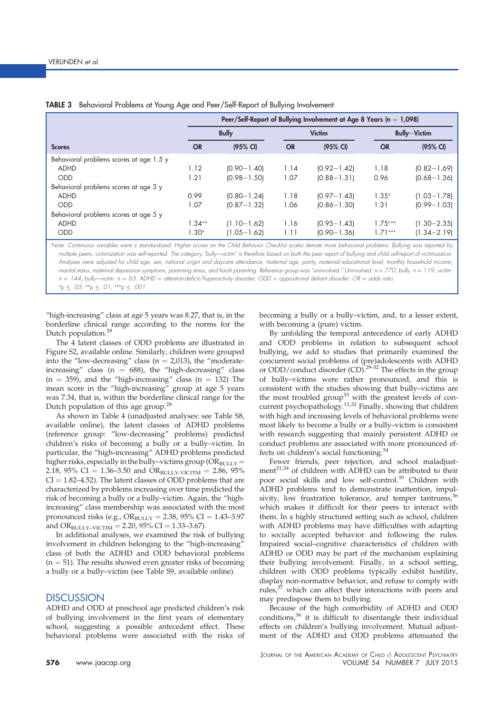|                                         | Peer/Self-Report of Bullying Involvement at Age 8 Years ( $n = 1,098$ ) |                    |               |                    |                     |                 |
|-----------------------------------------|-------------------------------------------------------------------------|--------------------|---------------|--------------------|---------------------|-----------------|
|                                         | <b>Bully</b>                                                            |                    | <b>Victim</b> |                    | <b>Bully-Victim</b> |                 |
| <b>Scores</b>                           | <b>OR</b>                                                               | $(95% \text{ Cl})$ | <b>OR</b>     | $(95% \text{ Cl})$ | <b>OR</b>           | (95% CI)        |
| Behavioral problems scores at age 1.5 y |                                                                         |                    |               |                    |                     |                 |
| <b>ADHD</b>                             | 1.12                                                                    | $(0.90 - 1.40)$    | 1.14          | $(0.92 - 1.42)$    | 1.18                | $(0.82 - 1.69)$ |
| <b>ODD</b>                              | 1.21                                                                    | $(0.98 - 1.50)$    | 1.07          | $(0.88 - 1.31)$    | 0.96                | $(0.68 - 1.36)$ |
| Behavioral problems scores at age 3 y   |                                                                         |                    |               |                    |                     |                 |
| <b>ADHD</b>                             | 0.99                                                                    | $(0.80 - 1.24)$    | 1.18          | $(0.97 - 1.43)$    | $1.35*$             | $(1.03 - 1.78)$ |
| <b>ODD</b>                              | 1.07                                                                    | $(0.87 - 1.32)$    | 1.06          | $(0.86 - 1.30)$    | 1.31                | $(0.99 - 1.03)$ |
| Behavioral problems scores at age 5 y   |                                                                         |                    |               |                    |                     |                 |
| <b>ADHD</b>                             | $1.34**$                                                                | $(1.10 - 1.62)$    | 1.16          | $(0.95 - 1.43)$    | $1.75***$           | $(1.30 - 2.35)$ |
| <b>ODD</b>                              | $1.30*$                                                                 | $(1.05 - 1.62)$    | 1.11          | $(0.90 - 1.36)$    | $1.71***$           | $(1.34 - 2.19)$ |

|  | <b>TABLE 3</b> Behavioral Problems at Young Age and Peer/Self-Report of Bullying Involvement |  |  |
|--|----------------------------------------------------------------------------------------------|--|--|
|  |                                                                                              |  |  |

Note: Continuous variables were z standardized. Higher scores on the Child Behavior Checklist scales denote more behavioral problems. Bullying was reported by multiple peers; victimization was self-reported. The category "bully-victim" is therefore based on both the peer report of bullying and child self-report of victimization. Analyses were adjusted for child age, sex, national origin and daycare attendance, maternal age, parity, maternal educational level, monthly household income, marital status, maternal depression symptoms, parenting stress, and harsh parenting. Reference group was "uninvolved." Uninvolved:  $n = 770$ ; bully:  $n = 119$ ; victim:  $n = 144$ ; bully-victim:  $n = 65$ . ADHD = attention-deficit/hyperactivity disorder; ODD = oppositional defiant disorder; OR = odds ratio.  $*_p \le .05; **p \le .01; ***p \le .001.$ 

"high-increasing" class at age 5 years was 8.27, that is, in the borderline clinical range according to the norms for the Dutch population.<sup>28</sup>

The 4 latent classes of ODD problems are illustrated in Figure S2, available online. Similarly, children were grouped into the "low-decreasing" class ( $n = 2,013$ ), the "moderateincreasing" class ( $n = 688$ ), the "high-decreasing" class  $(n = 359)$ , and the "high-increasing" class  $(n = 132)$  The mean score in the "high-increasing" group at age 5 years was 7.34, that is, within the borderline clinical range for the Dutch population of this age group.<sup>28</sup>

As shown in Table 4 (unadjusted analyses: see Table S8, available online), the latent classes of ADHD problems (reference group: "low-decreasing" problems) predicted children's risks of becoming a bully or a bully–victim. In particular, the "high-increasing" ADHD problems predicted higher risks, especially in the bully-victims group ( $\widehat{OR}_{BULLY}$  = 2.18, 95% CI = 1.36-3.50 and ORBULLY-VICITM = 2.86, 95%  $CI = 1.82–4.52$ ). The latent classes of ODD problems that are characterized by problems increasing over time predicted the risk of becoming a bully or a bully–victim. Again, the "highincreasing" class membership was associated with the most pronounced risks (e.g.,  $OR_{BULLY} = 2.38$ , 95% CI = 1.43-3.97 and OR<sub>BULLY–VICTIM</sub> = 2.20, 95% CI = 1.33-3.67).

In additional analyses, we examined the risk of bullying involvement in children belonging to the "high-increasing" class of both the ADHD and ODD behavioral problems  $(n = 51)$ . The results showed even greater risks of becoming a bully or a bully–victim (see Table S9, available online).

# **DISCUSSION**

ADHD and ODD at preschool age predicted children's risk of bullying involvement in the first years of elementary school, suggesting a possible antecedent effect. These behavioral problems were associated with the risks of becoming a bully or a bully–victim, and, to a lesser extent, with becoming a (pure) victim.

By unfolding the temporal antecedence of early ADHD and ODD problems in relation to subsequent school bullying, we add to studies that primarily examined the concurrent social problems of (pre)adolescents with ADHD or ODD/conduct disorder (CD).<sup>29-32</sup> The effects in the group of bully–victims were rather pronounced, and this is consistent with the studies showing that bully–victims are the most troubled group<sup>33</sup> with the greatest levels of concurrent psychopathology.<sup>11,32</sup> Finally, showing that children with high and increasing levels of behavioral problems were most likely to become a bully or a bully–victim is consistent with research suggesting that mainly persistent ADHD or conduct problems are associated with more pronounced effects on children's social functioning.<sup>34</sup>

Fewer friends, peer rejection, and school maladjustment $31,34$  of children with ADHD can be attributed to their poor social skills and low self-control.<sup>35</sup> Children with ADHD problems tend to demonstrate inattention, impulsivity, low frustration tolerance, and temper tantrums, $36$ which makes it difficult for their peers to interact with them. In a highly structured setting such as school, children with ADHD problems may have difficulties with adapting to socially accepted behavior and following the rules. Impaired social–cognitive characteristics of children with ADHD or ODD may be part of the mechanism explaining their bullying involvement. Finally, in a school setting, children with ODD problems typically exhibit hostility, display non-normative behavior, and refuse to comply with rules,<sup>37</sup> which can affect their interactions with peers and may predispose them to bullying.

Because of the high comorbidity of ADHD and ODD conditions,<sup>36</sup> it is difficult to disentangle their individual effects on children's bullying involvement. Mutual adjustment of the ADHD and ODD problems attenuated the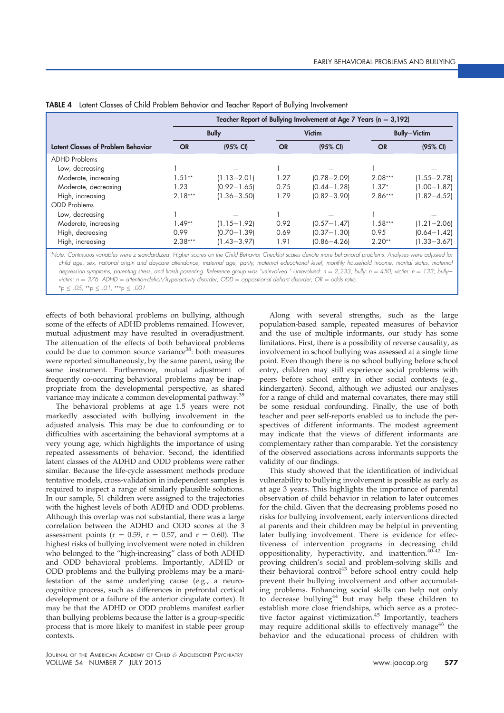| Teacher Report of Bullying Involvement at Age 7 Years ( $n = 3,192$ ) |                 |           |                    |                     |                 |  |
|-----------------------------------------------------------------------|-----------------|-----------|--------------------|---------------------|-----------------|--|
| <b>Bully</b>                                                          |                 |           | <b>Victim</b>      | <b>Bully-Victim</b> |                 |  |
| <b>OR</b>                                                             | (95% CI)        | <b>OR</b> | $(95% \text{ Cl})$ | <b>OR</b>           | (95% CI)        |  |
|                                                                       |                 |           |                    |                     |                 |  |
|                                                                       |                 |           |                    |                     |                 |  |
| $1.51**$                                                              | $(1.13 - 2.01)$ | 1.27      | $(0.78 - 2.09)$    | $2.08***$           | $(1.55 - 2.78)$ |  |
| 1.23                                                                  | $(0.92 - 1.65)$ | 0.75      | $(0.44 - 1.28)$    | $1.37*$             | $(1.00 - 1.87)$ |  |
| $2.18***$                                                             | $(1.36 - 3.50)$ | 1.79      | $(0.82 - 3.90)$    | $2.86***$           | $(1.82 - 4.52)$ |  |
|                                                                       |                 |           |                    |                     |                 |  |
|                                                                       |                 |           |                    |                     |                 |  |
| $1.49**$                                                              | $(1.15 - 1.92)$ | 0.92      | $(0.57 - 1.47)$    | $1.58***$           | $(1.21 - 2.06)$ |  |
| 0.99                                                                  | $[0.70 - 1.39]$ | 0.69      | $(0.37 - 1.30)$    | 0.95                | $(0.64 - 1.42)$ |  |
| $2.38***$                                                             | $(1.43 - 3.97)$ | 1.91      | $(0.86 - 4.26)$    | $2.20**$            | $(1.33 - 3.67)$ |  |
|                                                                       |                 |           |                    |                     |                 |  |

|  |  |  |  |  |  | TABLE 4 Latent Classes of Child Problem Behavior and Teacher Report of Bullying Involvement |
|--|--|--|--|--|--|---------------------------------------------------------------------------------------------|
|--|--|--|--|--|--|---------------------------------------------------------------------------------------------|

Note: Continuous variables were z standardized. Higher scores on the Child Behavior Checklist scales denote more behavioral problems. Analyses were adjusted for child age, sex, national origin and daycare attendance, maternal age, parity, maternal educational level, monthly household income, marital status, maternal depression symptoms, parenting stress, and harsh parenting. Reference group was "uninvolved." Uninvolved:  $n = 2,233$ ; bully:  $n = 450$ ; victim:  $n = 133$ ; bullyvictim:  $n = 376$ . ADHD = attention-deficit/hyperactivity disorder; ODD = oppositional defiant disorder; OR = odds ratio.  $*_p$  < .05;  $*_p$  < .01;  $**_p$  < .001.

effects of both behavioral problems on bullying, although some of the effects of ADHD problems remained. However, mutual adjustment may have resulted in overadjustment. The attenuation of the effects of both behavioral problems could be due to common source variance<sup>38</sup>: both measures were reported simultaneously, by the same parent, using the same instrument. Furthermore, mutual adjustment of frequently co-occurring behavioral problems may be inappropriate from the developmental perspective, as shared variance may indicate a common developmental pathway.<sup>39</sup>

The behavioral problems at age 1.5 years were not markedly associated with bullying involvement in the adjusted analysis. This may be due to confounding or to difficulties with ascertaining the behavioral symptoms at a very young age, which highlights the importance of using repeated assessments of behavior. Second, the identified latent classes of the ADHD and ODD problems were rather similar. Because the life-cycle assessment methods produce tentative models, cross-validation in independent samples is required to inspect a range of similarly plausible solutions. In our sample, 51 children were assigned to the trajectories with the highest levels of both ADHD and ODD problems. Although this overlap was not substantial, there was a large correlation between the ADHD and ODD scores at the 3 assessment points ( $r = 0.59$ ,  $r = 0.57$ , and  $r = 0.60$ ). The highest risks of bullying involvement were noted in children who belonged to the "high-increasing" class of both ADHD and ODD behavioral problems. Importantly, ADHD or ODD problems and the bullying problems may be a manifestation of the same underlying cause (e.g., a neurocognitive process, such as differences in prefrontal cortical development or a failure of the anterior cingulate cortex). It may be that the ADHD or ODD problems manifest earlier than bullying problems because the latter is a group-specific process that is more likely to manifest in stable peer group contexts.

Along with several strengths, such as the large population-based sample, repeated measures of behavior and the use of multiple informants, our study has some limitations. First, there is a possibility of reverse causality, as involvement in school bullying was assessed at a single time point. Even though there is no school bullying before school entry, children may still experience social problems with peers before school entry in other social contexts (e.g., kindergarten). Second, although we adjusted our analyses for a range of child and maternal covariates, there may still be some residual confounding. Finally, the use of both teacher and peer self-reports enabled us to include the perspectives of different informants. The modest agreement may indicate that the views of different informants are complementary rather than comparable. Yet the consistency of the observed associations across informants supports the validity of our findings.

This study showed that the identification of individual vulnerability to bullying involvement is possible as early as at age 3 years. This highlights the importance of parental observation of child behavior in relation to later outcomes for the child. Given that the decreasing problems posed no risks for bullying involvement, early interventions directed at parents and their children may be helpful in preventing later bullying involvement. There is evidence for effectiveness of intervention programs in decreasing child oppositionality, hyperactivity, and inattention.<sup>40-42</sup> Improving children's social and problem-solving skills and their behavioral control<sup>43</sup> before school entry could help prevent their bullying involvement and other accumulating problems. Enhancing social skills can help not only to decrease bullying<sup>44</sup> but may help these children to establish more close friendships, which serve as a protective factor against victimization.<sup>45</sup> Importantly, teachers may require additional skills to effectively manage<sup>46</sup> the behavior and the educational process of children with

JOURNAL OF THE AMERICAN ACADEMY OF CHILD & ADOLESCENT PSYCHIATRY VOLUME 54 NUMBER 7 JULY 2015 www.jaacap.org 577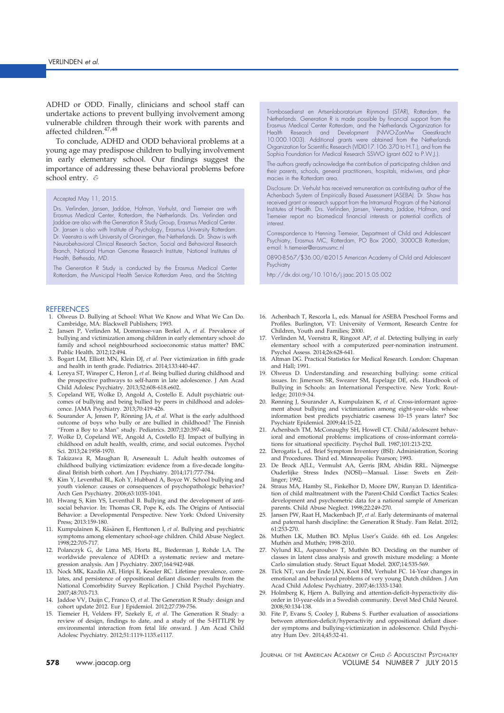ADHD or ODD. Finally, clinicians and school staff can undertake actions to prevent bullying involvement among vulnerable children through their work with parents and affected children.  $\hspace{-0.07em}^{47,48}$ 

To conclude, ADHD and ODD behavioral problems at a young age may predispose children to bullying involvement in early elementary school. Our findings suggest the importance of addressing these behavioral problems before school entry. &

#### Accepted May 11, 2015.

Drs. Verlinden, Jansen, Jaddoe, Hofman, Verhulst, and Tiemeier are with Erasmus Medical Center, Rotterdam, the Netherlands. Drs. Verlinden and Jaddoe are also with the Generation R Study Group, Erasmus Medical Center. Dr. Jansen is also with Institute of Psychology, Erasmus University Rotterdam. Dr. Veenstra is with University of Groningen, the Netherlands. Dr. Shaw is with Neurobehavioral Clinical Research Section, Social and Behavioral Research Branch, National Human Genome Research Institute, National Institutes of Health, Bethesda, MD.

The Generation R Study is conducted by the Erasmus Medical Center Rotterdam, the Municipal Health Service Rotterdam Area, and the Stichting

## **REFERENCES**

- 1. Olweus D. Bullying at School: What We Know and What We Can Do. Cambridge, MA: Blackwell Publishers; 1993.
- 2. Jansen P, Verlinden M, Dommisse-van Berkel A, et al. Prevalence of bullying and victimization among children in early elementary school: do family and school neighbourhood socioeconomic status matter? BMC Public Health. 2012;12:494.
- 3. Bogart LM, Elliott MN, Klein DJ, et al. Peer victimization in fifth grade and health in tenth grade. Pediatrics. 2014;133:440-447.
- 4. Lereya ST, Winsper C, Heron J, et al. Being bullied during childhood and the prospective pathways to self-harm in late adolescence. J Am Acad Child Adolesc Psychiatry. 2013;52:608-618.e602.
- 5. Copeland WE, Wolke D, Angold A, Costello E. Adult psychiatric outcomes of bullying and being bullied by peers in childhood and adolescence. JAMA Psychiatry. 2013;70:419-426.
- 6. Sourander A, Jensen P, Rönning JA, et al. What is the early adulthood outcome of boys who bully or are bullied in childhood? The Finnish "From a Boy to a Man" study. Pediatrics. 2007;120:397-404.
- 7. Wolke D, Copeland WE, Angold A, Costello EJ. Impact of bullying in childhood on adult health, wealth, crime, and social outcomes. Psychol Sci. 2013;24:1958-1970.
- 8. Takizawa R, Maughan B, Arseneault L. Adult health outcomes of childhood bullying victimization: evidence from a five-decade longitudinal British birth cohort. Am J Psychiatry. 2014;171:777-784.
- 9. Kim Y, Leventhal BL, Koh Y, Hubbard A, Boyce W. School bullying and youth violence: causes or consequences of psychopathologic behavior? Arch Gen Psychiatry. 2006;63:1035-1041.
- 10. Hwang S, Kim YS, Leventhal B. Bullying and the development of antisocial behavior. In: Thomas CR, Pope K, eds. The Origins of Antisocial Behavior: a Developmental Perspective. New York: Oxford University Press; 2013:159-180.
- 11. Kumpulainen K, Räsänen E, Henttonen I, et al. Bullying and psychiatric symptoms among elementary school-age children. Child Abuse Neglect. 1998;22:705-717.
- 12. Polanczyk G, de Lima MS, Horta BL, Biederman J, Rohde LA. The worldwide prevalence of ADHD: a systematic review and metaregression analysis. Am J Psychiatry. 2007;164:942-948.
- 13. Nock MK, Kazdin AE, Hiripi E, Kessler RC. Lifetime prevalence, correlates, and persistence of oppositional defiant disorder: results from the National Comorbidity Survey Replication. J Child Psychol Psychiatry. 2007;48:703-713.
- 14. Jaddoe VV, Duijn C, Franco O, et al. The Generation R Study: design and cohort update 2012. Eur J Epidemiol. 2012;27:739-756.
- 15. Tiemeier H, Velders FP, Szekely E, et al. The Generation R Study: a review of design, findings to date, and a study of the 5-HTTLPR by environmental interaction from fetal life onward. J Am Acad Child Adolesc Psychiatry. 2012;51:1119-1135.e1117.

Trombosedienst en Artsenlaboratorium Rijnmond (STAR), Rotterdam, the Netherlands. Generation R is made possible by financial support from the Erasmus Medical Center Rotterdam, and the Netherlands Organization for Health Research and Development (NWO-ZonMw) 10.000.1003). Additional grants were obtained from the Netherlands Organization for Scientific Research (VIDI017.106.370 to H.T.), and from the Sophia Foundation for Medical Research SSWO (grant 602 to P.W.J.).

The authors greatly acknowledge the contribution of participating children and their parents, schools, general practitioners, hospitals, midwives, and pharmacies in the Rotterdam area.

Disclosure: Dr. Verhulst has received remuneration as contributing author of the Achenbach System of Empirically Based Assessment (ASEBA). Dr. Shaw has received grant or research support from the Intramural Program of the National Institutes of Health. Drs. Verlinden, Jansen, Veenstra, Jaddoe, Hofman, and Tiemeier report no biomedical financial interests or potential conflicts of interest.

Correspondence to Henning Tiemeier, Department of Child and Adolescent Psychiatry, Erasmus MC, Rotterdam, PO Box 2060, 3000CB Rotterdam; e-mail: h.tiemeier@erasmusmc.nl

0890-8567/\$36.00/@2015 American Academy of Child and Adolescent Psychiatry

http://dx.doi.org/10.1016/j.jaac.2015.05.002

- 16. Achenbach T, Rescorla L, eds. Manual for ASEBA Preschool Forms and Profiles. Burlington, VT: University of Vermont, Research Centre for Children, Youth and Families; 2000.
- 17. Verlinden M, Veenstra R, Ringoot AP, et al. Detecting bullying in early elementary school with a computerized peer-nomination instrument. Psychol Assess. 2014;26:628-641.
- 18. Altman DG. Practical Statistics for Medical Research. London: Chapman and Hall; 1991.
- 19. Olweus D. Understanding and researching bullying: some critical issues. In: Jimerson SR, Swearer SM, Espelage DE, eds. Handbook of Bullying in Schools: an International Perspective. New York: Routledge; 2010:9-34.
- 20. Rønning J, Sourander A, Kumpulainen K, et al. Cross-informant agreement about bullying and victimization among eight-year-olds: whose information best predicts psychiatric caseness 10–15 years later? Soc Psychiatr Epidemiol. 2009;44:15-22.
- 21. Achenbach TM, McConaughy SH, Howell CT. Child/adolescent behavioral and emotional problems: implications of cross-informant correlations for situational specificity. Psychol Bull. 1987;101:213-232.
- 22. Derogatis L, ed. Brief Symptom Inventory (BSI): Administration, Scoring and Procedures. Third ed. Minneapolis: Pearson; 1993.
- 23. De Brock AJLL, Vermulst AA, Gerris JRM, Abidin RRL. Nijmeegse Ouderlijke Stress Index (NOSI)—Manual. Lisse: Swets en Zeitlinger; 1992.
- 24. Straus MA, Hamby SL, Finkelhor D, Moore DW, Runyan D. Identification of child maltreatment with the Parent-Child Conflict Tactics Scales: development and psychometric data for a national sample of American parents. Child Abuse Neglect. 1998;22:249-270.
- 25. Jansen PW, Raat H, Mackenbach JP, et al. Early determinants of maternal and paternal harsh discipline: the Generation R Study. Fam Relat. 2012; 61:253-270.
- 26. Muthen LK, Muthen BO. Mplus User's Guide. 6th ed. Los Angeles: Muthén and Muthén; 1998-2010.
- 27. Nylund KL, Asparouhov T, Muthén BO. Deciding on the number of classes in latent class analysis and growth mixture modeling: a Monte Carlo simulation study. Struct Equat Model. 2007;14:535-569.
- 28. Tick NT, van der Ende JAN, Koot HM, Verhulst FC. 14-Year changes in emotional and behavioral problems of very young Dutch children. J Am Acad Child Adolesc Psychiatry. 2007;46:1333-1340.
- 29. Holmberg K, Hjern A. Bullying and attention-deficit–hyperactivity disorder in 10-year-olds in a Swedish community. Devel Med Child Neurol. 2008;50:134-138.
- 30. Fite P, Evans S, Cooley J, Rubens S. Further evaluation of associations between attention-deficit/hyperactivity and oppositional defiant disorder symptoms and bullying-victimization in adolescence. Child Psychiatry Hum Dev. 2014;45:32-41.

JOURNAL OF THE AMERICAN ACADEMY OF CHILD & ADOLESCENT PSYCHIATRY 578 www.jaacap.org VOLUME 54 NUMBER 7 JULY 2015